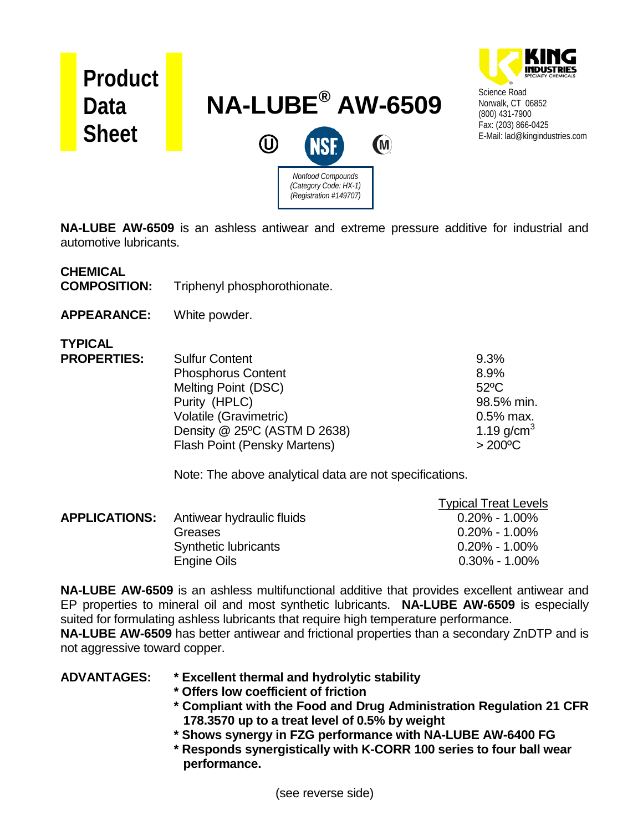

**NA-LUBE AW-6509** is an ashless antiwear and extreme pressure additive for industrial and automotive lubricants.

### **CHEMICAL**

**COMPOSITION:** Triphenyl phosphorothionate.

**APPEARANCE:** White powder.

**TYPICAL PROPERTIES** 

| ÷. | <b>Sulfur Content</b>        | 9.3%             |
|----|------------------------------|------------------|
|    | <b>Phosphorus Content</b>    | 8.9%             |
|    | Melting Point (DSC)          | $52^{\circ}$ C   |
|    | Purity (HPLC)                | 98.5% min.       |
|    | Volatile (Gravimetric)       | $0.5%$ max.      |
|    | Density @ 25°C (ASTM D 2638) | 1.19 $q/cm^{3}$  |
|    | Flash Point (Pensky Martens) | $>200^{\circ}$ C |
|    |                              |                  |

Note: The above analytical data are not specifications.

|                      |                           | <b>Typical Treat Levels</b> |
|----------------------|---------------------------|-----------------------------|
| <b>APPLICATIONS:</b> | Antiwear hydraulic fluids | $0.20\% - 1.00\%$           |
|                      | Greases                   | $0.20\% - 1.00\%$           |
|                      | Synthetic lubricants      | $0.20\%$ - 1.00%            |
|                      | <b>Engine Oils</b>        | $0.30\% - 1.00\%$           |

**NA-LUBE AW-6509** is an ashless multifunctional additive that provides excellent antiwear and EP properties to mineral oil and most synthetic lubricants. **NA-LUBE AW-6509** is especially suited for formulating ashless lubricants that require high temperature performance.

**NA-LUBE AW-6509** has better antiwear and frictional properties than a secondary ZnDTP and is not aggressive toward copper.

### **ADVANTAGES: \* Excellent thermal and hydrolytic stability**

- **\* Offers low coefficient of friction**
- **\* Compliant with the Food and Drug Administration Regulation 21 CFR 178.3570 up to a treat level of 0.5% by weight**
- **\* Shows synergy in FZG performance with NA-LUBE AW-6400 FG**
- **\* Responds synergistically with K-CORR 100 series to four ball wear performance.**